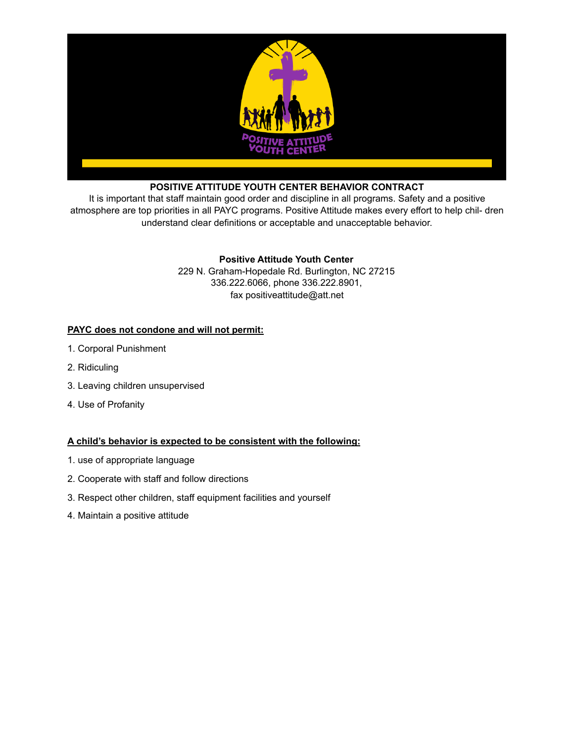

# **POSITIVE ATTITUDE YOUTH CENTER BEHAVIOR CONTRACT**

It is important that staff maintain good order and discipline in all programs. Safety and a positive atmosphere are top priorities in all PAYC programs. Positive Attitude makes every effort to help chil- dren understand clear definitions or acceptable and unacceptable behavior.

# **Positive Attitude Youth Center**

229 N. Graham-Hopedale Rd. Burlington, NC 27215 336.222.6066, phone 336.222.8901, fax positiveattitude@att.net

# **PAYC does not condone and will not permit:**

- 1. Corporal Punishment
- 2. Ridiculing
- 3. Leaving children unsupervised
- 4. Use of Profanity

## **A child's behavior is expected to be consistent with the following:**

- 1. use of appropriate language
- 2. Cooperate with staff and follow directions
- 3. Respect other children, staff equipment facilities and yourself
- 4. Maintain a positive attitude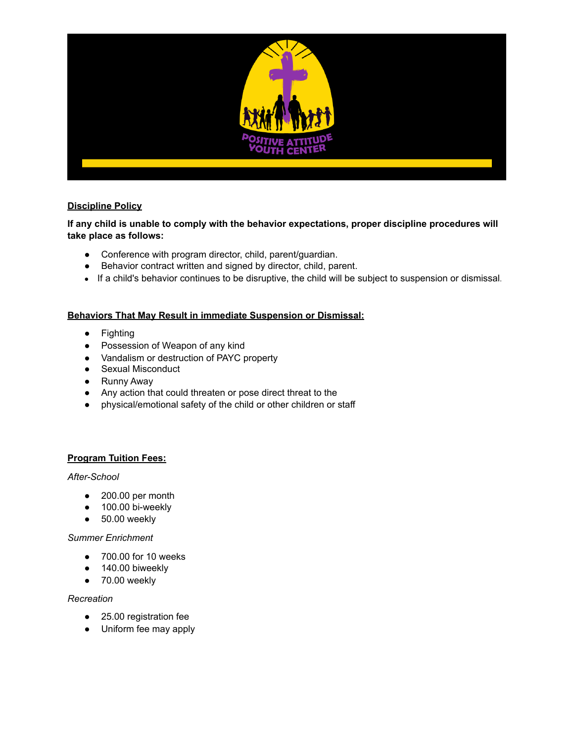

# **Discipline Policy**

**If any child is unable to comply with the behavior expectations, proper discipline procedures will take place as follows:** 

- Conference with program director, child, parent/guardian.
- Behavior contract written and signed by director, child, parent.
- If a child's behavior continues to be disruptive, the child will be subject to suspension or dismissal.

# **Behaviors That May Result in immediate Suspension or Dismissal:**

- Fighting
- Possession of Weapon of any kind
- Vandalism or destruction of PAYC property
- Sexual Misconduct
- Runny Away
- Any action that could threaten or pose direct threat to the
- physical/emotional safety of the child or other children or staff

## **Program Tuition Fees:**

## *After-School*

- 200.00 per month
- 100.00 bi-weekly
- $\bullet$  50.00 weekly

## *Summer Enrichment*

- 700.00 for 10 weeks
- 140.00 biweekly
- 70.00 weekly

## *Recreation*

- 25.00 registration fee
- Uniform fee may apply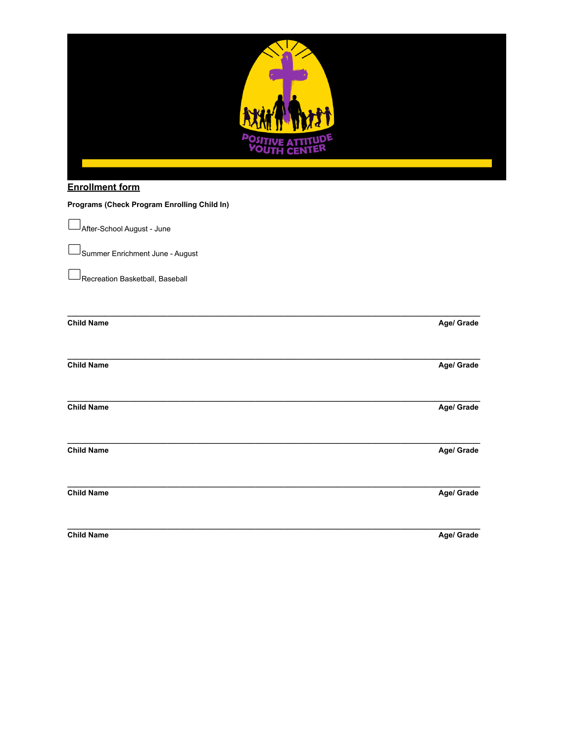| <b>Enrollment form</b>                      |            |
|---------------------------------------------|------------|
| Programs (Check Program Enrolling Child In) |            |
| After-School August - June                  |            |
| Summer Enrichment June - August             |            |
| Recreation Basketball, Baseball             |            |
| <b>Child Name</b>                           | Age/ Grade |
| <b>Child Name</b>                           | Age/ Grade |
| <b>Child Name</b>                           | Age/ Grade |
| <b>Child Name</b>                           | Age/ Grade |
| <b>Child Name</b>                           | Age/ Grade |
| <b>Child Name</b>                           | Age/ Grade |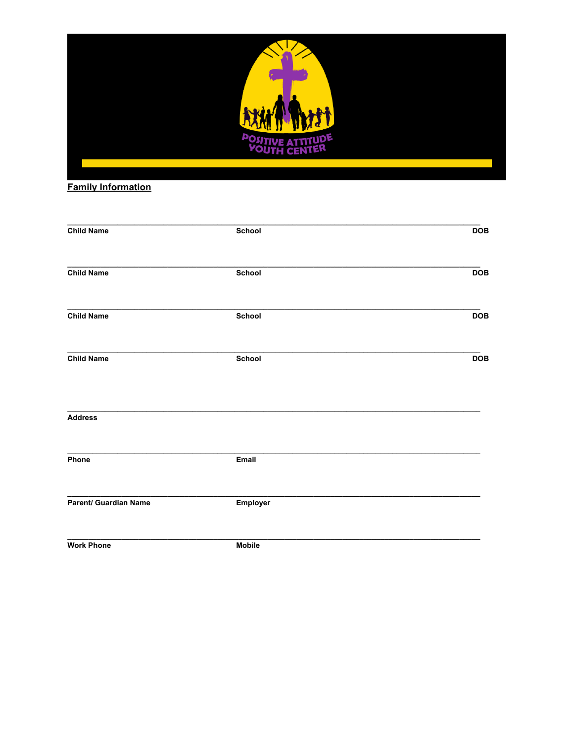

# **Family Information**

| <b>Child Name</b>     | School        | <b>DOB</b> |
|-----------------------|---------------|------------|
|                       |               |            |
| <b>Child Name</b>     | School        | <b>DOB</b> |
| <b>Child Name</b>     | School        | <b>DOB</b> |
| <b>Child Name</b>     | School        | <b>DOB</b> |
| <b>Address</b>        |               |            |
| Phone                 | Email         |            |
| Parent/ Guardian Name | Employer      |            |
| <b>Work Phone</b>     | <b>Mobile</b> |            |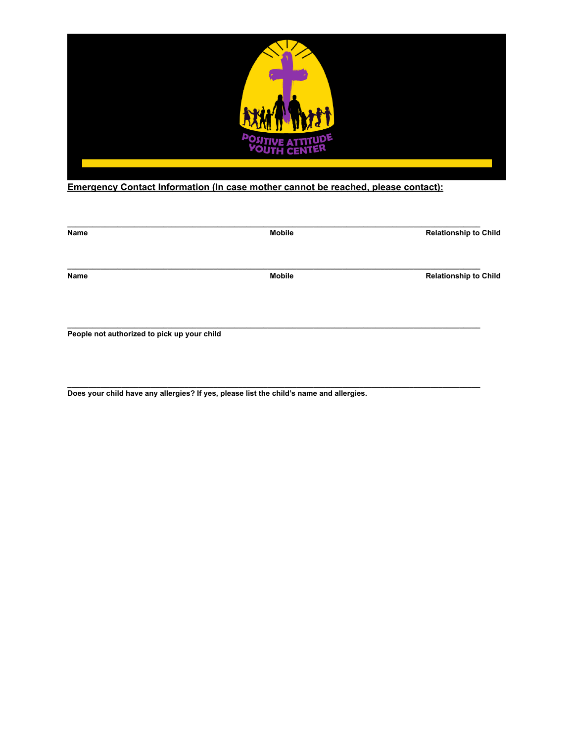

# **Emergency Contact Information (In case mother cannot be reached, please contact):**

| Name                                        | <b>Mobile</b> | <b>Relationship to Child</b> |
|---------------------------------------------|---------------|------------------------------|
| Name                                        | <b>Mobile</b> | <b>Relationship to Child</b> |
|                                             |               |                              |
| People not authorized to pick up your child |               |                              |

**\_\_\_\_\_\_\_\_\_\_\_\_\_\_\_\_\_\_\_\_\_\_\_\_\_\_\_\_\_\_\_\_\_\_\_\_\_\_\_\_\_\_\_\_\_\_\_\_\_\_\_\_\_\_\_\_\_\_\_\_\_\_\_\_\_\_\_\_\_\_\_\_\_\_\_\_\_\_\_\_\_\_\_\_\_\_\_\_\_\_\_\_\_\_\_\_\_\_\_** 

**Does your child have any allergies? If yes, please list the child's name and allergies.**